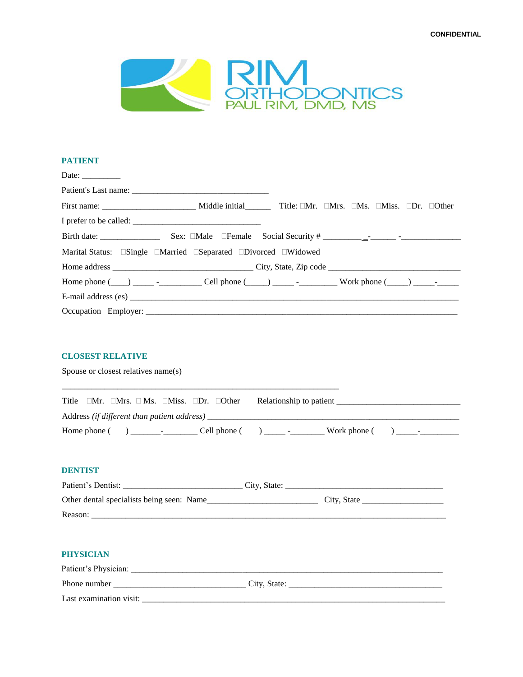

## **PATIENT**

|  | Home phone $(\_\_\_\_\_\_\_\_\_\_\_\_\_\_\_\_\_\_\_\_\_$ Cell phone $(\_\_\_\_\_\_\_\_\_\_\_\_\_$ . Work phone $(\_\_\_\_\)_\_\_\_\_\_\_$ |
|--|-------------------------------------------------------------------------------------------------------------------------------------------|
|  | E-mail address (es)                                                                                                                       |
|  |                                                                                                                                           |

## **CLOSEST RELATIVE**

Spouse or closest relatives name(s)

|              |                            |                                             | Title $\Box$ Mr. $\Box$ Mrs. $\Box$ Ms. $\Box$ Miss. $\Box$ Dr. $\Box$ Other |                | Relationship to patient |              |                          |  |
|--------------|----------------------------|---------------------------------------------|------------------------------------------------------------------------------|----------------|-------------------------|--------------|--------------------------|--|
|              |                            | Address (if different than patient address) |                                                                              |                |                         |              |                          |  |
| Home phone ( | the company of the company |                                             | Cell phone (                                                                 | $\blacksquare$ |                         | Work phone ( | $\overline{\phantom{a}}$ |  |

\_\_\_\_\_\_\_\_\_\_\_\_\_\_\_\_\_\_\_\_\_\_\_\_\_\_\_\_\_\_\_\_\_\_\_\_\_\_\_\_\_\_\_\_\_\_\_\_\_\_\_\_\_\_\_\_\_\_\_\_\_\_\_\_\_

## **DENTIST**

| Patient's Dentist:                        | City, State: |
|-------------------------------------------|--------------|
| Other dental specialists being seen: Name | City, State  |
| Reason:                                   |              |

## **PHYSICIAN**

| Patient's Physician:    |              |
|-------------------------|--------------|
| Phone number            | City, State: |
| Last examination visit: |              |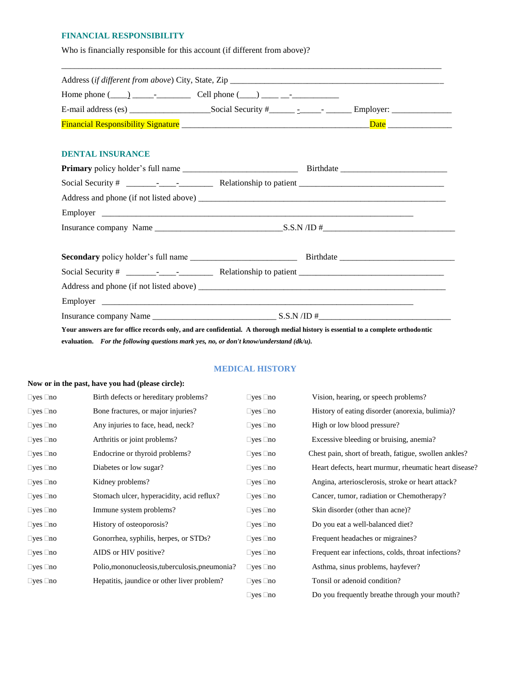## **FINANCIAL RESPONSIBILITY**

Who is financially responsible for this account (if different from above)?

| Home phone $(\_\_\_\_\_\_$ - $\_\_\_$ - $\_\_$ Cell phone $(\_\_\_\_\_\_\_$ - $\_\_$ - $\_\_$ - $\_\_$ - $\_\_$ - |  |
|-------------------------------------------------------------------------------------------------------------------|--|
|                                                                                                                   |  |
|                                                                                                                   |  |
| <b>DENTAL INSURANCE</b>                                                                                           |  |
|                                                                                                                   |  |
|                                                                                                                   |  |
|                                                                                                                   |  |
|                                                                                                                   |  |
|                                                                                                                   |  |
|                                                                                                                   |  |
|                                                                                                                   |  |
|                                                                                                                   |  |
|                                                                                                                   |  |
|                                                                                                                   |  |

**Your answers are for office records only, and are confidential. A thorough medial history is essential to a complete orthodontic evaluation.** *For the following questions mark yes, no, or don't know/understand (dk/u).*

# **MEDICAL HISTORY**

#### **Now or in the past, have you had (please circle):**

| $\Box$ yes $\Box$ no       | Birth defects or hereditary problems?          | $\square$ yes $\square$ no | Vision, hearing, or speech problems?                  |
|----------------------------|------------------------------------------------|----------------------------|-------------------------------------------------------|
| $\Box$ yes $\Box$ no       | Bone fractures, or major injuries?             | $\Box$ yes $\Box$ no       | History of eating disorder (anorexia, bulimia)?       |
| $\Box$ yes $\Box$ no       | Any injuries to face, head, neck?              | $\Box$ yes $\Box$ no       | High or low blood pressure?                           |
| $\Box$ yes $\Box$ no       | Arthritis or joint problems?                   | $\Box$ yes $\Box$ no       | Excessive bleeding or bruising, anemia?               |
| $\Box$ yes $\Box$ no       | Endocrine or thyroid problems?                 | $\Box$ yes $\Box$ no       | Chest pain, short of breath, fatigue, swollen ankles? |
| $\Box$ yes $\Box$ no       | Diabetes or low sugar?                         | $\Box$ yes $\Box$ no       | Heart defects, heart murmur, rheumatic heart disease? |
| $\square$ yes $\square$ no | Kidney problems?                               | $\Box$ yes $\Box$ no       | Angina, arteriosclerosis, stroke or heart attack?     |
| $\Box$ yes $\Box$ no       | Stomach ulcer, hyperacidity, acid reflux?      | $\Box$ yes $\Box$ no       | Cancer, tumor, radiation or Chemotherapy?             |
| $\Box$ yes $\Box$ no       | Immune system problems?                        | $\Box$ yes $\Box$ no       | Skin disorder (other than acne)?                      |
| $\Box$ yes $\Box$ no       | History of osteoporosis?                       | $\Box$ yes $\Box$ no       | Do you eat a well-balanced diet?                      |
| $\Box$ yes $\Box$ no       | Gonorrhea, syphilis, herpes, or STDs?          | $\Box$ yes $\Box$ no       | Frequent headaches or migraines?                      |
| $\Box$ yes $\Box$ no       | AIDS or HIV positive?                          | $\Box$ yes $\Box$ no       | Frequent ear infections, colds, throat infections?    |
| $\Box$ yes $\Box$ no       | Polio, mononucleosis, tuberculosis, pneumonia? | $\Box$ yes $\Box$ no       | Asthma, sinus problems, hayfever?                     |
| $\Box$ yes $\Box$ no       | Hepatitis, jaundice or other liver problem?    | $\Box$ yes $\Box$ no       | Tonsil or adenoid condition?                          |
|                            |                                                | $\Box$ yes $\Box$ no       | Do you frequently breathe through your mouth?         |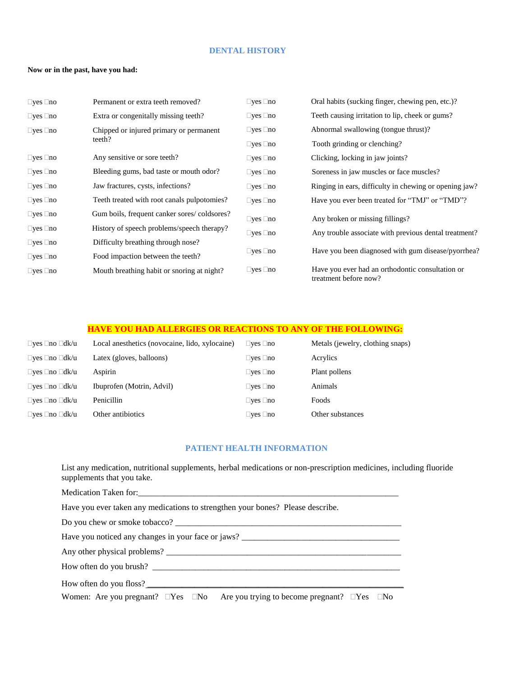#### **DENTAL HISTORY**

#### **Now or in the past, have you had:**

| $\Box$ yes $\Box$ no | Permanent or extra teeth removed?                 | $\square$ yes $\square$ no | Oral habits (sucking finger, chewing pen, etc.)?                          |
|----------------------|---------------------------------------------------|----------------------------|---------------------------------------------------------------------------|
| $\Box$ yes $\Box$ no | Extra or congenitally missing teeth?              | $\square$ yes $\square$ no | Teeth causing irritation to lip, cheek or gums?                           |
| $\Box$ yes $\Box$ no | Chipped or injured primary or permanent<br>teeth? | $\square$ yes $\square$ no | Abnormal swallowing (tongue thrust)?                                      |
|                      |                                                   | $\Box$ yes $\Box$ no       | Tooth grinding or clenching?                                              |
| $\Box$ yes $\Box$ no | Any sensitive or sore teeth?                      | $\square$ yes $\square$ no | Clicking, locking in jaw joints?                                          |
| $\Box$ yes $\Box$ no | Bleeding gums, bad taste or mouth odor?           | $\square$ yes $\square$ no | Soreness in jaw muscles or face muscles?                                  |
| $\Box$ yes $\Box$ no | Jaw fractures, cysts, infections?                 | $\square$ yes $\square$ no | Ringing in ears, difficulty in chewing or opening jaw?                    |
| $\Box$ yes $\Box$ no | Teeth treated with root canals pulpotomies?       | $\Box$ yes $\Box$ no       | Have you ever been treated for "TMJ" or "TMD"?                            |
| $\Box$ yes $\Box$ no | Gum boils, frequent canker sores/coldsores?       | $\Box$ yes $\Box$ no       | Any broken or missing fillings?                                           |
| $\Box$ yes $\Box$ no | History of speech problems/speech therapy?        | $\square$ yes $\square$ no | Any trouble associate with previous dental treatment?                     |
| $\Box$ yes $\Box$ no | Difficulty breathing through nose?                |                            |                                                                           |
| $\Box$ yes $\Box$ no | Food impaction between the teeth?                 | $\square$ yes $\square$ no | Have you been diagnosed with gum disease/pyorrhea?                        |
| $\Box$ yes $\Box$ no | Mouth breathing habit or snoring at night?        | $\square$ yes $\square$ no | Have you ever had an orthodontic consultation or<br>treatment before now? |

### **HAVE YOU HAD ALLERGIES OR REACTIONS TO ANY OF THE FOLLOWING:**

| □ves □no □dk/u                   | Local anesthetics (novocaine, lido, xylocaine) | $\Box$ yes $\Box$ no | Metals (jewelry, clothing snaps) |
|----------------------------------|------------------------------------------------|----------------------|----------------------------------|
| $\Box$ yes $\Box$ no $\Box$ dk/u | Latex (gloves, balloons)                       | $\Box$ yes $\Box$ no | Acrylics                         |
| □ves □no □dk/u                   | Aspirin                                        | $\Box$ yes $\Box$ no | Plant pollens                    |
| $\Box$ yes $\Box$ no $\Box$ dk/u | Ibuprofen (Motrin, Advil)                      | $\Box$ yes $\Box$ no | Animals                          |
| □ves □no □dk/u                   | Penicillin                                     | $\Box$ yes $\Box$ no | Foods                            |
| $\Box$ yes $\Box$ no $\Box$ dk/u | Other antibiotics                              | $\Box$ yes $\Box$ no | Other substances                 |

## **PATIENT HEALTH INFORMATION**

List any medication, nutritional supplements, herbal medications or non-prescription medicines, including fluoride supplements that you take.

Medication Taken for:\_\_\_\_\_\_\_\_\_\_\_\_\_\_\_\_\_\_\_\_\_\_\_\_\_\_\_\_\_\_\_\_\_\_\_\_\_\_\_\_\_\_\_\_\_\_\_\_\_\_\_\_\_\_\_\_\_\_\_\_\_

Have you ever taken any medications to strengthen your bones? Please describe.

Do you chew or smoke tobacco? \_\_\_\_\_\_\_\_\_\_\_\_\_\_\_\_\_\_\_\_\_\_\_\_\_\_\_\_\_\_\_\_\_\_\_\_\_\_\_\_\_\_\_\_\_\_\_\_\_\_\_\_\_

Have you noticed any changes in your face or jaws? \_\_\_\_\_\_\_\_\_\_\_\_\_\_\_\_\_\_\_\_\_\_\_\_\_\_\_\_\_\_

Any other physical problems? \_\_\_\_\_\_\_\_\_\_\_\_\_\_\_\_\_\_\_\_\_\_\_\_\_\_\_\_\_\_\_\_\_\_\_\_\_\_\_\_\_\_\_\_\_\_\_\_\_\_\_\_\_\_\_

How often do you brush? \_\_\_\_\_\_\_\_\_\_\_\_\_\_\_\_\_\_\_\_\_\_\_\_\_\_\_\_\_\_\_\_\_\_\_\_\_\_\_\_\_\_\_\_\_\_\_\_\_\_\_\_\_\_\_\_\_\_

How often do you floss?

Women: Are you pregnant?  $\Box Yes$   $\Box No$  Are you trying to become pregnant?  $\Box Yes$   $\Box No$